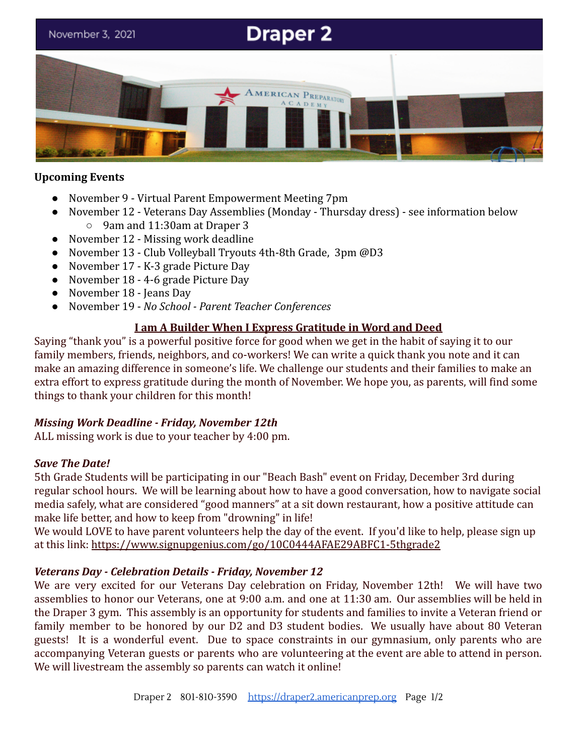# **Draper 2** November 3, 2021 RICAN PREPARATORY

## **Upcoming Events**

- November 9 Virtual Parent Empowerment Meeting 7pm
- November 12 Veterans Day Assemblies (Monday Thursday dress) see information below ○ 9am and 11:30am at Draper 3
- November 12 Missing work deadline
- November 13 Club Volleyball Tryouts 4th-8th Grade, 3pm @D3
- November 17 K-3 grade Picture Day
- November 18 4-6 grade Picture Day
- November 18 Jeans Day
- November 19 *No School Parent Teacher Conferences*

# **I am A Builder When I Express Gratitude in Word and Deed**

Saying "thank you" is a powerful positive force for good when we get in the habit of saying it to our family members, friends, neighbors, and co-workers! We can write a quick thank you note and it can make an amazing difference in someone's life. We challenge our students and their families to make an extra effort to express gratitude during the month of November. We hope you, as parents, will find some things to thank your children for this month!

#### *Missing Work Deadline - Friday, November 12th*

ALL missing work is due to your teacher by 4:00 pm.

#### *Save The Date!*

5th Grade Students will be participating in our "Beach Bash" event on Friday, December 3rd during regular school hours. We will be learning about how to have a good conversation, how to navigate social media safely, what are considered "good manners" at a sit down restaurant, how a positive attitude can make life better, and how to keep from "drowning" in life!

We would LOVE to have parent volunteers help the day of the event. If you'd like to help, please sign up at this link: <https://www.signupgenius.com/go/10C0444AFAE29ABFC1-5thgrade2>

# *Veterans Day - Celebration Details - Friday, November 12*

We are very excited for our Veterans Day celebration on Friday, November 12th! We will have two assemblies to honor our Veterans, one at 9:00 a.m. and one at 11:30 am. Our assemblies will be held in the Draper 3 gym. This assembly is an opportunity for students and families to invite a Veteran friend or family member to be honored by our D2 and D3 student bodies. We usually have about 80 Veteran guests! It is a wonderful event. Due to space constraints in our gymnasium, only parents who are accompanying Veteran guests or parents who are volunteering at the event are able to attend in person. We will livestream the assembly so parents can watch it online!